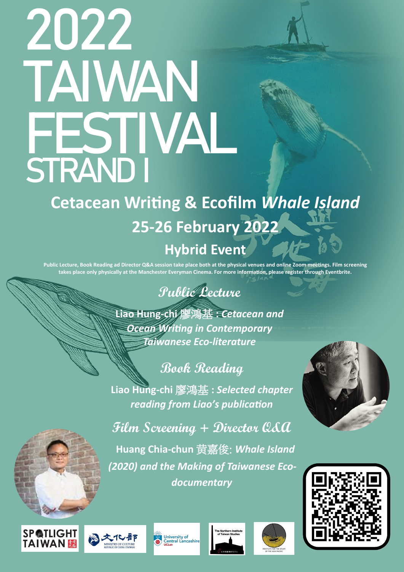**Film Screening + Director Q&A** 







**Huang Chia-chun** 黄嘉俊: *Whale Island* 

*(2020) and the Making of Taiwanese Eco-*

*documentary*



#### **SP@TLIGHT TAIWAN &**





e Northern Institute





**Liao Hung-chi** 廖鴻基 **:** *Cetacean and Ocean Writing in Contemporary Taiwanese Eco-literature*

### **Cetacean Writing & Ecofilm** *Whale Island*  **25-26 February 2022 Hybrid Event**

## 2022 TAIWAN FESTIVAL STRAND I

**Public Lecture, Book Reading ad Director Q&A session take place both at the physical venues and online Zoom meetings. Film screening takes place only physically at the Manchester Everyman Cinema. For more information, please register through Eventbrite.**

### **Book Reading**

**Liao Hung-chi** 廖鴻基 **:** *Selected chapter reading from Liao's publication*